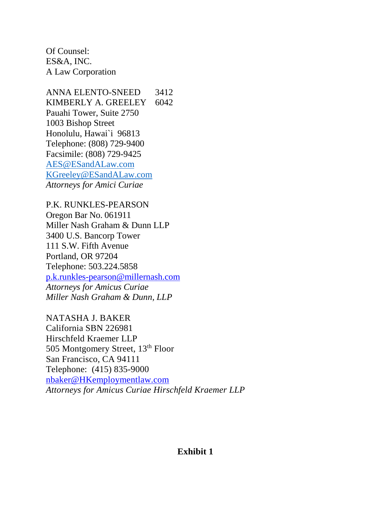Of Counsel: ES&A, INC. A Law Corporation

ANNA ELENTO-SNEED 3412 KIMBERLY A. GREELEY 6042 Pauahi Tower, Suite 2750 1003 Bishop Street Honolulu, Hawai`i 96813 Telephone: (808) 729-9400 Facsimile: (808) 729-9425 [AES@ESandALaw.com](mailto:AES@ESandALaw.com) [KGreeley@ESandALaw.com](mailto:KGreeley@ESandALaw.com) *Attorneys for Amici Curiae* 

P.K. RUNKLES-PEARSON Oregon Bar No. 061911 Miller Nash Graham & Dunn LLP 3400 U.S. Bancorp Tower 111 S.W. Fifth Avenue Portland, OR 97204 Telephone: 503.224.5858 [p.k.runkles-pearson@millernash.com](mailto:p.k.runkles-pearson@millernash.com) *Attorneys for Amicus Curiae Miller Nash Graham & Dunn, LLP*

NATASHA J. BAKER California SBN 226981 Hirschfeld Kraemer LLP 505 Montgomery Street, 13<sup>th</sup> Floor San Francisco, CA 94111 Telephone: (415) 835-9000 [nbaker@HKemploymentlaw.com](mailto:nbaker@HKemploymentlaw.com) *Attorneys for Amicus Curiae Hirschfeld Kraemer LLP*

# **Exhibit 1**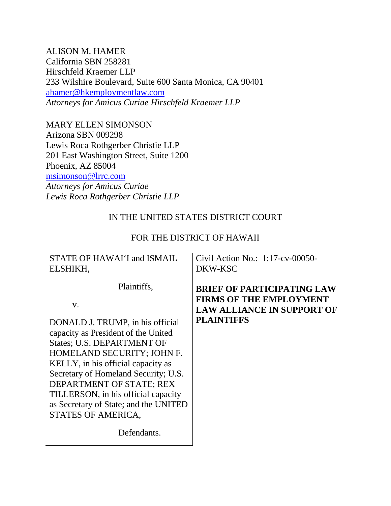ALISON M. HAMER California SBN 258281 Hirschfeld Kraemer LLP 233 Wilshire Boulevard, Suite 600 Santa Monica, CA 90401 [ahamer@hkemploymentlaw.com](mailto:ahamer@hkemploymentlaw.com) *Attorneys for Amicus Curiae Hirschfeld Kraemer LLP*

MARY ELLEN SIMONSON Arizona SBN 009298 Lewis Roca Rothgerber Christie LLP 201 East Washington Street, Suite 1200 Phoenix, AZ 85004 [msimonson@lrrc.com](mailto:msimonson@lrrc.com) *Attorneys for Amicus Curiae Lewis Roca Rothgerber Christie LLP*

# IN THE UNITED STATES DISTRICT COURT

# FOR THE DISTRICT OF HAWAII

# STATE OF HAWAI'I and ISMAIL ELSHIKH,

Civil Action No.: 1:17-cv-00050- DKW-KSC

Plaintiffs,

v.

DONALD J. TRUMP, in his official capacity as President of the United States; U.S. DEPARTMENT OF HOMELAND SECURITY; JOHN F. KELLY, in his official capacity as Secretary of Homeland Security; U.S. DEPARTMENT OF STATE; REX TILLERSON, in his official capacity as Secretary of State; and the UNITED STATES OF AMERICA,

**BRIEF OF PARTICIPATING LAW FIRMS OF THE EMPLOYMENT LAW ALLIANCE IN SUPPORT OF PLAINTIFFS**

Defendants.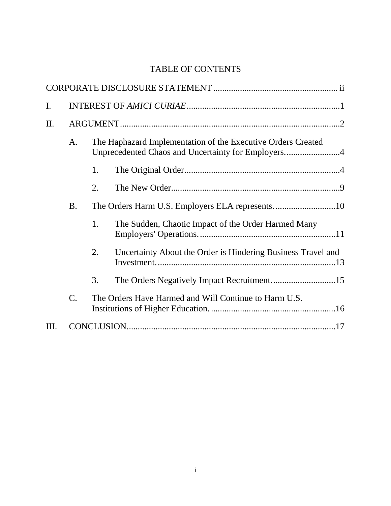# TABLE OF CONTENTS

| $\mathbf{I}$ . |                                                                                                                          |    |                                                              |  |
|----------------|--------------------------------------------------------------------------------------------------------------------------|----|--------------------------------------------------------------|--|
| II.            | The Haphazard Implementation of the Executive Orders Created<br>A.<br>Unprecedented Chaos and Uncertainty for Employers4 |    |                                                              |  |
|                |                                                                                                                          |    |                                                              |  |
|                |                                                                                                                          | 1. |                                                              |  |
|                |                                                                                                                          | 2. |                                                              |  |
|                | <b>B.</b>                                                                                                                |    |                                                              |  |
|                |                                                                                                                          | 1. | The Sudden, Chaotic Impact of the Order Harmed Many          |  |
|                |                                                                                                                          | 2. | Uncertainty About the Order is Hindering Business Travel and |  |
|                |                                                                                                                          | 3. |                                                              |  |
|                | C.                                                                                                                       |    | The Orders Have Harmed and Will Continue to Harm U.S.        |  |
| III.           |                                                                                                                          |    |                                                              |  |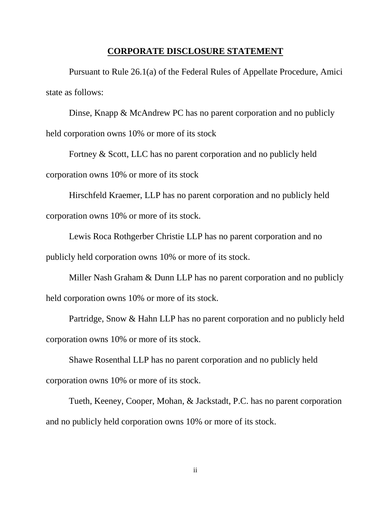#### **CORPORATE DISCLOSURE STATEMENT**

Pursuant to Rule 26.1(a) of the Federal Rules of Appellate Procedure, Amici state as follows:

Dinse, Knapp & McAndrew PC has no parent corporation and no publicly held corporation owns 10% or more of its stock

Fortney & Scott, LLC has no parent corporation and no publicly held corporation owns 10% or more of its stock

Hirschfeld Kraemer, LLP has no parent corporation and no publicly held corporation owns 10% or more of its stock.

Lewis Roca Rothgerber Christie LLP has no parent corporation and no publicly held corporation owns 10% or more of its stock.

Miller Nash Graham & Dunn LLP has no parent corporation and no publicly held corporation owns 10% or more of its stock.

Partridge, Snow & Hahn LLP has no parent corporation and no publicly held corporation owns 10% or more of its stock.

Shawe Rosenthal LLP has no parent corporation and no publicly held corporation owns 10% or more of its stock.

Tueth, Keeney, Cooper, Mohan, & Jackstadt, P.C. has no parent corporation and no publicly held corporation owns 10% or more of its stock.

ii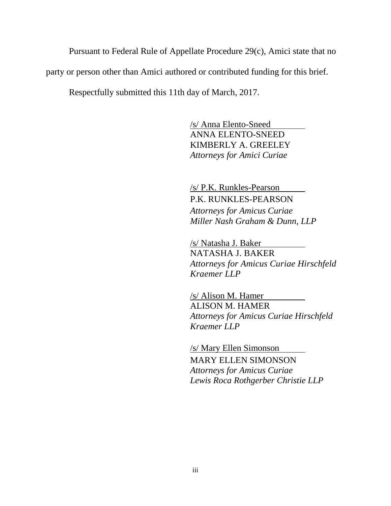Pursuant to Federal Rule of Appellate Procedure 29(c), Amici state that no party or person other than Amici authored or contributed funding for this brief.

Respectfully submitted this 11th day of March, 2017.

/s/ Anna Elento-Sneed ANNA ELENTO-SNEED KIMBERLY A. GREELEY *Attorneys for Amici Curiae*

/s/ P.K. Runkles-Pearson P.K. RUNKLES-PEARSON *Attorneys for Amicus Curiae Miller Nash Graham & Dunn, LLP*

/s/ Natasha J. Baker NATASHA J. BAKER *Attorneys for Amicus Curiae Hirschfeld Kraemer LLP*

/s/ Alison M. Hamer ALISON M. HAMER *Attorneys for Amicus Curiae Hirschfeld Kraemer LLP*

/s/ Mary Ellen Simonson MARY ELLEN SIMONSON *Attorneys for Amicus Curiae Lewis Roca Rothgerber Christie LLP*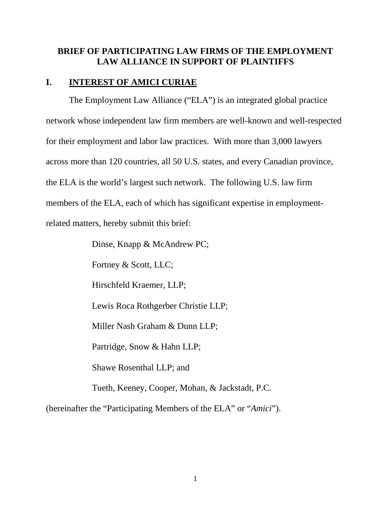# **BRIEF OF PARTICIPATING LAW FIRMS OF THE EMPLOYMENT LAW ALLIANCE IN SUPPORT OF PLAINTIFFS**

## <span id="page-5-0"></span>**I. INTEREST OF AMICI CURIAE**

The Employment Law Alliance ("ELA") is an integrated global practice network whose independent law firm members are well-known and well-respected for their employment and labor law practices. With more than 3,000 lawyers across more than 120 countries, all 50 U.S. states, and every Canadian province, the ELA is the world's largest such network. The following U.S. law firm members of the ELA, each of which has significant expertise in employmentrelated matters, hereby submit this brief:

> Dinse, Knapp & McAndrew PC; Fortney & Scott, LLC; Hirschfeld Kraemer, LLP; Lewis Roca Rothgerber Christie LLP; Miller Nash Graham & Dunn LLP; Partridge, Snow & Hahn LLP; Shawe Rosenthal LLP; and Tueth, Keeney, Cooper, Mohan, & Jackstadt, P.C.

(hereinafter the "Participating Members of the ELA" or "*Amici*").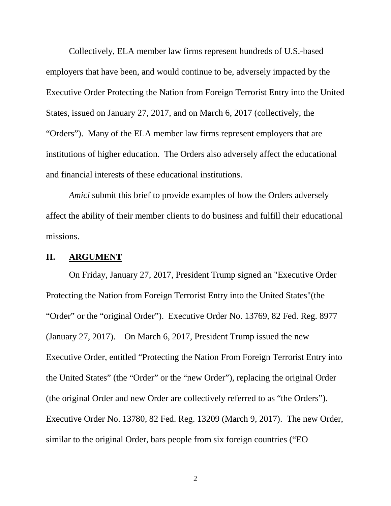Collectively, ELA member law firms represent hundreds of U.S.-based employers that have been, and would continue to be, adversely impacted by the Executive Order Protecting the Nation from Foreign Terrorist Entry into the United States, issued on January 27, 2017, and on March 6, 2017 (collectively, the "Orders"). Many of the ELA member law firms represent employers that are institutions of higher education. The Orders also adversely affect the educational and financial interests of these educational institutions.

*Amici* submit this brief to provide examples of how the Orders adversely affect the ability of their member clients to do business and fulfill their educational missions.

## <span id="page-6-0"></span>**II. ARGUMENT**

On Friday, January 27, 2017, President Trump signed an "Executive Order Protecting the Nation from Foreign Terrorist Entry into the United States"(the "Order" or the "original Order"). Executive Order No. 13769, 82 Fed. Reg. 8977 (January 27, 2017). On March 6, 2017, President Trump issued the new Executive Order, entitled "Protecting the Nation From Foreign Terrorist Entry into the United States" (the "Order" or the "new Order"), replacing the original Order (the original Order and new Order are collectively referred to as "the Orders"). Executive Order No. 13780, 82 Fed. Reg. 13209 (March 9, 2017). The new Order, similar to the original Order, bars people from six foreign countries ("EO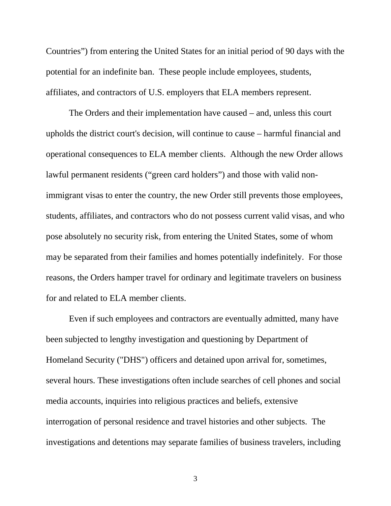Countries") from entering the United States for an initial period of 90 days with the potential for an indefinite ban. These people include employees, students, affiliates, and contractors of U.S. employers that ELA members represent.

The Orders and their implementation have caused – and, unless this court upholds the district court's decision, will continue to cause – harmful financial and operational consequences to ELA member clients. Although the new Order allows lawful permanent residents ("green card holders") and those with valid nonimmigrant visas to enter the country, the new Order still prevents those employees, students, affiliates, and contractors who do not possess current valid visas, and who pose absolutely no security risk, from entering the United States, some of whom may be separated from their families and homes potentially indefinitely. For those reasons, the Orders hamper travel for ordinary and legitimate travelers on business for and related to ELA member clients.

Even if such employees and contractors are eventually admitted, many have been subjected to lengthy investigation and questioning by Department of Homeland Security ("DHS") officers and detained upon arrival for, sometimes, several hours. These investigations often include searches of cell phones and social media accounts, inquiries into religious practices and beliefs, extensive interrogation of personal residence and travel histories and other subjects. The investigations and detentions may separate families of business travelers, including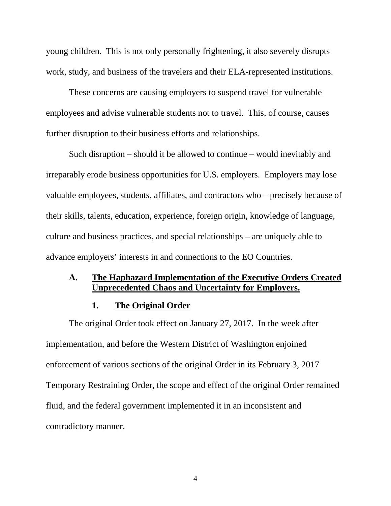young children. This is not only personally frightening, it also severely disrupts work, study, and business of the travelers and their ELA-represented institutions.

These concerns are causing employers to suspend travel for vulnerable employees and advise vulnerable students not to travel. This, of course, causes further disruption to their business efforts and relationships.

Such disruption – should it be allowed to continue – would inevitably and irreparably erode business opportunities for U.S. employers. Employers may lose valuable employees, students, affiliates, and contractors who – precisely because of their skills, talents, education, experience, foreign origin, knowledge of language, culture and business practices, and special relationships – are uniquely able to advance employers' interests in and connections to the EO Countries.

## <span id="page-8-0"></span>**A. The Haphazard Implementation of the Executive Orders Created Unprecedented Chaos and Uncertainty for Employers.**

#### **1. The Original Order**

<span id="page-8-1"></span>The original Order took effect on January 27, 2017. In the week after implementation, and before the Western District of Washington enjoined enforcement of various sections of the original Order in its February 3, 2017 Temporary Restraining Order, the scope and effect of the original Order remained fluid, and the federal government implemented it in an inconsistent and contradictory manner.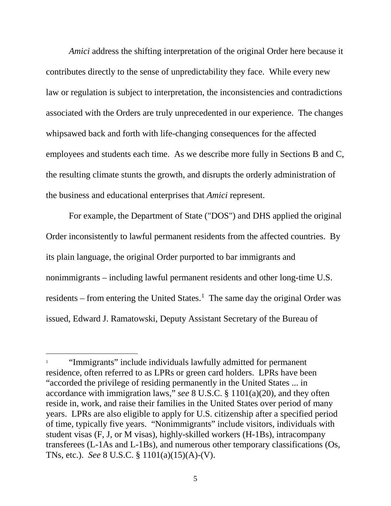*Amici* address the shifting interpretation of the original Order here because it contributes directly to the sense of unpredictability they face. While every new law or regulation is subject to interpretation, the inconsistencies and contradictions associated with the Orders are truly unprecedented in our experience. The changes whipsawed back and forth with life-changing consequences for the affected employees and students each time. As we describe more fully in Sections B and C, the resulting climate stunts the growth, and disrupts the orderly administration of the business and educational enterprises that *Amici* represent.

For example, the Department of State ("DOS") and DHS applied the original Order inconsistently to lawful permanent residents from the affected countries. By its plain language, the original Order purported to bar immigrants and nonimmigrants – including lawful permanent residents and other long-time U.S. residents  $-$  from entering the United States.<sup>[1](#page-9-0)</sup> The same day the original Order was issued, Edward J. Ramatowski, Deputy Assistant Secretary of the Bureau of

 $\overline{a}$ 

<span id="page-9-0"></span><sup>&</sup>quot;Immigrants" include individuals lawfully admitted for permanent residence, often referred to as LPRs or green card holders. LPRs have been "accorded the privilege of residing permanently in the United States ... in accordance with immigration laws," *see* 8 U.S.C. § 1101(a)(20), and they often reside in, work, and raise their families in the United States over period of many years. LPRs are also eligible to apply for U.S. citizenship after a specified period of time, typically five years. "Nonimmigrants" include visitors, individuals with student visas (F, J, or M visas), highly-skilled workers (H-1Bs), intracompany transferees (L-1As and L-1Bs), and numerous other temporary classifications (Os, TNs, etc.). *See* 8 U.S.C. § 1101(a)(15)(A)-(V).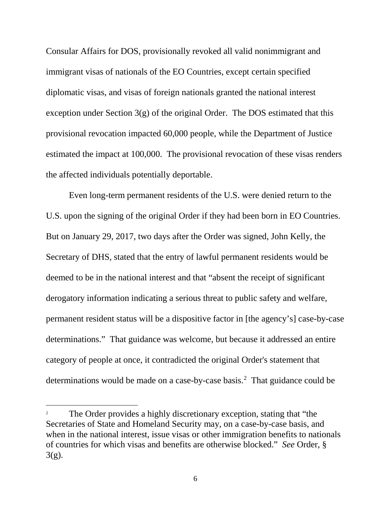Consular Affairs for DOS, provisionally revoked all valid nonimmigrant and immigrant visas of nationals of the EO Countries, except certain specified diplomatic visas, and visas of foreign nationals granted the national interest exception under Section  $3(g)$  of the original Order. The DOS estimated that this provisional revocation impacted 60,000 people, while the Department of Justice estimated the impact at 100,000. The provisional revocation of these visas renders the affected individuals potentially deportable.

Even long-term permanent residents of the U.S. were denied return to the U.S. upon the signing of the original Order if they had been born in EO Countries. But on January 29, 2017, two days after the Order was signed, John Kelly, the Secretary of DHS, stated that the entry of lawful permanent residents would be deemed to be in the national interest and that "absent the receipt of significant derogatory information indicating a serious threat to public safety and welfare, permanent resident status will be a dispositive factor in [the agency's] case-by-case determinations." That guidance was welcome, but because it addressed an entire category of people at once, it contradicted the original Order's statement that determinations would be made on a case-by-case basis.[2](#page-10-0) That guidance could be

 $\ddot{\phantom{a}}$ 

<span id="page-10-0"></span>The Order provides a highly discretionary exception, stating that "the Secretaries of State and Homeland Security may, on a case-by-case basis, and when in the national interest, issue visas or other immigration benefits to nationals of countries for which visas and benefits are otherwise blocked." *See* Order, § 3(g).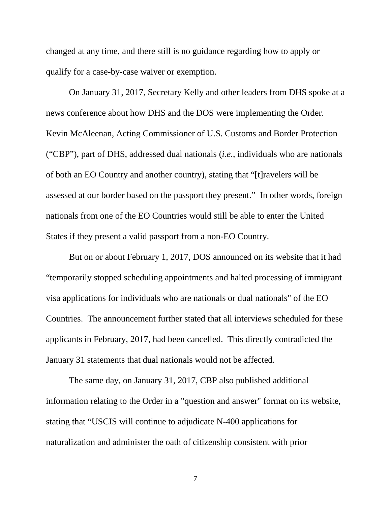changed at any time, and there still is no guidance regarding how to apply or qualify for a case-by-case waiver or exemption.

On January 31, 2017, Secretary Kelly and other leaders from DHS spoke at a news conference about how DHS and the DOS were implementing the Order. Kevin McAleenan, Acting Commissioner of U.S. Customs and Border Protection ("CBP"), part of DHS, addressed dual nationals (*i.e.*, individuals who are nationals of both an EO Country and another country), stating that "[t]ravelers will be assessed at our border based on the passport they present." In other words, foreign nationals from one of the EO Countries would still be able to enter the United States if they present a valid passport from a non-EO Country.

But on or about February 1, 2017, DOS announced on its website that it had "temporarily stopped scheduling appointments and halted processing of immigrant visa applications for individuals who are nationals or dual nationals" of the EO Countries. The announcement further stated that all interviews scheduled for these applicants in February, 2017, had been cancelled. This directly contradicted the January 31 statements that dual nationals would not be affected.

The same day, on January 31, 2017, CBP also published additional information relating to the Order in a "question and answer" format on its website, stating that "USCIS will continue to adjudicate N-400 applications for naturalization and administer the oath of citizenship consistent with prior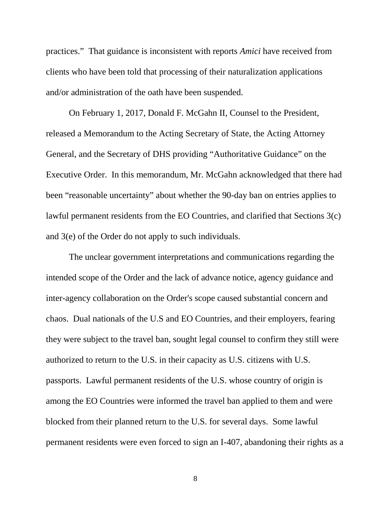practices." That guidance is inconsistent with reports *Amici* have received from clients who have been told that processing of their naturalization applications and/or administration of the oath have been suspended.

On February 1, 2017, Donald F. McGahn II, Counsel to the President, released a Memorandum to the Acting Secretary of State, the Acting Attorney General, and the Secretary of DHS providing "Authoritative Guidance" on the Executive Order. In this memorandum, Mr. McGahn acknowledged that there had been "reasonable uncertainty" about whether the 90-day ban on entries applies to lawful permanent residents from the EO Countries, and clarified that Sections 3(c) and 3(e) of the Order do not apply to such individuals.

The unclear government interpretations and communications regarding the intended scope of the Order and the lack of advance notice, agency guidance and inter-agency collaboration on the Order's scope caused substantial concern and chaos. Dual nationals of the U.S and EO Countries, and their employers, fearing they were subject to the travel ban, sought legal counsel to confirm they still were authorized to return to the U.S. in their capacity as U.S. citizens with U.S. passports. Lawful permanent residents of the U.S. whose country of origin is among the EO Countries were informed the travel ban applied to them and were blocked from their planned return to the U.S. for several days. Some lawful permanent residents were even forced to sign an I-407, abandoning their rights as a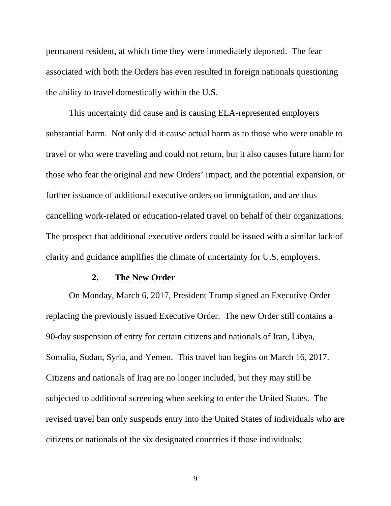permanent resident, at which time they were immediately deported. The fear associated with both the Orders has even resulted in foreign nationals questioning the ability to travel domestically within the U.S.

This uncertainty did cause and is causing ELA-represented employers substantial harm. Not only did it cause actual harm as to those who were unable to travel or who were traveling and could not return, but it also causes future harm for those who fear the original and new Orders' impact, and the potential expansion, or further issuance of additional executive orders on immigration, and are thus cancelling work-related or education-related travel on behalf of their organizations. The prospect that additional executive orders could be issued with a similar lack of clarity and guidance amplifies the climate of uncertainty for U.S. employers.

## **2. The New Order**

<span id="page-13-0"></span>On Monday, March 6, 2017, President Trump signed an Executive Order replacing the previously issued Executive Order. The new Order still contains a 90-day suspension of entry for certain citizens and nationals of Iran, Libya, Somalia, Sudan, Syria, and Yemen. This travel ban begins on March 16, 2017. Citizens and nationals of Iraq are no longer included, but they may still be subjected to additional screening when seeking to enter the United States. The revised travel ban only suspends entry into the United States of individuals who are citizens or nationals of the six designated countries if those individuals: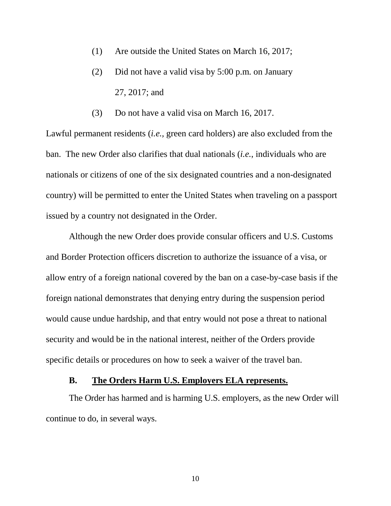- (1) Are outside the United States on March 16, 2017;
- (2) Did not have a valid visa by 5:00 p.m. on January 27, 2017; and

(3) Do not have a valid visa on March 16, 2017.

Lawful permanent residents (*i.e.,* green card holders) are also excluded from the ban. The new Order also clarifies that dual nationals (*i.e.*, individuals who are nationals or citizens of one of the six designated countries and a non-designated country) will be permitted to enter the United States when traveling on a passport issued by a country not designated in the Order.

Although the new Order does provide consular officers and U.S. Customs and Border Protection officers discretion to authorize the issuance of a visa, or allow entry of a foreign national covered by the ban on a case-by-case basis if the foreign national demonstrates that denying entry during the suspension period would cause undue hardship, and that entry would not pose a threat to national security and would be in the national interest, neither of the Orders provide specific details or procedures on how to seek a waiver of the travel ban.

## **B. The Orders Harm U.S. Employers ELA represents.**

<span id="page-14-0"></span>The Order has harmed and is harming U.S. employers, as the new Order will continue to do, in several ways.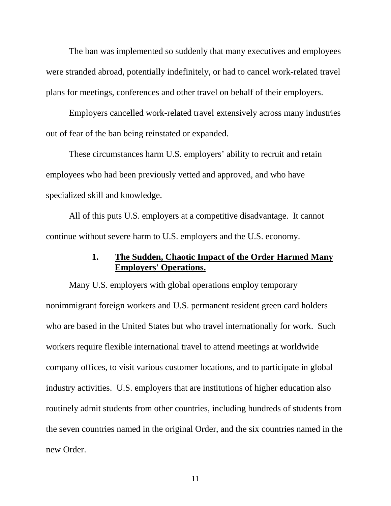The ban was implemented so suddenly that many executives and employees were stranded abroad, potentially indefinitely, or had to cancel work-related travel plans for meetings, conferences and other travel on behalf of their employers.

Employers cancelled work-related travel extensively across many industries out of fear of the ban being reinstated or expanded.

These circumstances harm U.S. employers' ability to recruit and retain employees who had been previously vetted and approved, and who have specialized skill and knowledge.

All of this puts U.S. employers at a competitive disadvantage. It cannot continue without severe harm to U.S. employers and the U.S. economy.

# **1. The Sudden, Chaotic Impact of the Order Harmed Many Employers' Operations.**

<span id="page-15-0"></span>Many U.S. employers with global operations employ temporary nonimmigrant foreign workers and U.S. permanent resident green card holders who are based in the United States but who travel internationally for work. Such workers require flexible international travel to attend meetings at worldwide company offices, to visit various customer locations, and to participate in global industry activities. U.S. employers that are institutions of higher education also routinely admit students from other countries, including hundreds of students from the seven countries named in the original Order, and the six countries named in the new Order.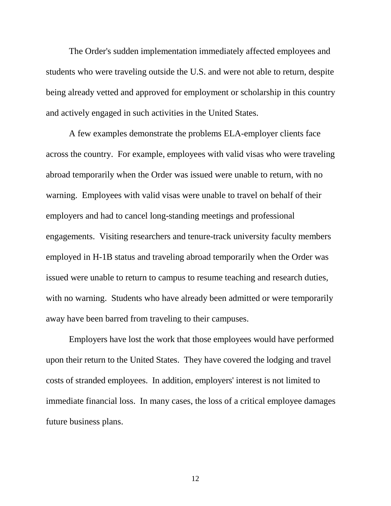The Order's sudden implementation immediately affected employees and students who were traveling outside the U.S. and were not able to return, despite being already vetted and approved for employment or scholarship in this country and actively engaged in such activities in the United States.

A few examples demonstrate the problems ELA-employer clients face across the country. For example, employees with valid visas who were traveling abroad temporarily when the Order was issued were unable to return, with no warning. Employees with valid visas were unable to travel on behalf of their employers and had to cancel long-standing meetings and professional engagements. Visiting researchers and tenure-track university faculty members employed in H-1B status and traveling abroad temporarily when the Order was issued were unable to return to campus to resume teaching and research duties, with no warning. Students who have already been admitted or were temporarily away have been barred from traveling to their campuses.

Employers have lost the work that those employees would have performed upon their return to the United States. They have covered the lodging and travel costs of stranded employees. In addition, employers' interest is not limited to immediate financial loss. In many cases, the loss of a critical employee damages future business plans.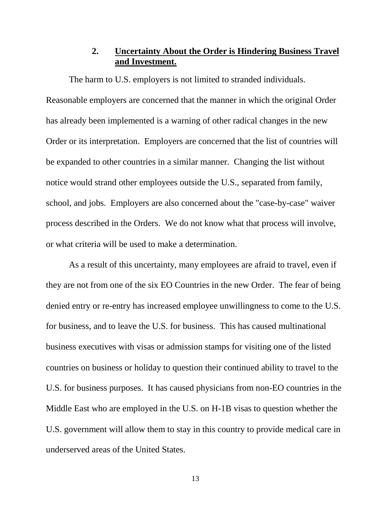# **2. Uncertainty About the Order is Hindering Business Travel and Investment.**

<span id="page-17-0"></span>The harm to U.S. employers is not limited to stranded individuals. Reasonable employers are concerned that the manner in which the original Order has already been implemented is a warning of other radical changes in the new Order or its interpretation. Employers are concerned that the list of countries will be expanded to other countries in a similar manner. Changing the list without notice would strand other employees outside the U.S., separated from family, school, and jobs. Employers are also concerned about the "case-by-case" waiver process described in the Orders. We do not know what that process will involve, or what criteria will be used to make a determination.

As a result of this uncertainty, many employees are afraid to travel, even if they are not from one of the six EO Countries in the new Order. The fear of being denied entry or re-entry has increased employee unwillingness to come to the U.S. for business, and to leave the U.S. for business. This has caused multinational business executives with visas or admission stamps for visiting one of the listed countries on business or holiday to question their continued ability to travel to the U.S. for business purposes. It has caused physicians from non-EO countries in the Middle East who are employed in the U.S. on H-1B visas to question whether the U.S. government will allow them to stay in this country to provide medical care in underserved areas of the United States.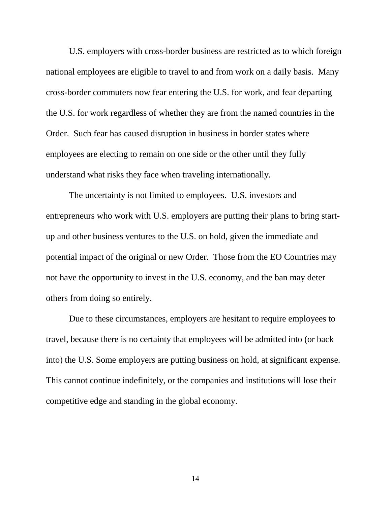U.S. employers with cross-border business are restricted as to which foreign national employees are eligible to travel to and from work on a daily basis. Many cross-border commuters now fear entering the U.S. for work, and fear departing the U.S. for work regardless of whether they are from the named countries in the Order. Such fear has caused disruption in business in border states where employees are electing to remain on one side or the other until they fully understand what risks they face when traveling internationally.

The uncertainty is not limited to employees. U.S. investors and entrepreneurs who work with U.S. employers are putting their plans to bring startup and other business ventures to the U.S. on hold, given the immediate and potential impact of the original or new Order. Those from the EO Countries may not have the opportunity to invest in the U.S. economy, and the ban may deter others from doing so entirely.

Due to these circumstances, employers are hesitant to require employees to travel, because there is no certainty that employees will be admitted into (or back into) the U.S. Some employers are putting business on hold, at significant expense. This cannot continue indefinitely, or the companies and institutions will lose their competitive edge and standing in the global economy.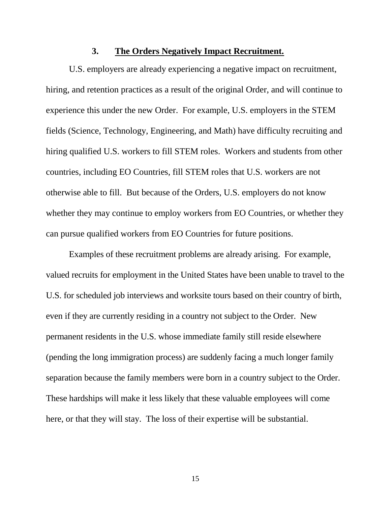#### **3. The Orders Negatively Impact Recruitment.**

<span id="page-19-0"></span>U.S. employers are already experiencing a negative impact on recruitment, hiring, and retention practices as a result of the original Order, and will continue to experience this under the new Order. For example, U.S. employers in the STEM fields (Science, Technology, Engineering, and Math) have difficulty recruiting and hiring qualified U.S. workers to fill STEM roles. Workers and students from other countries, including EO Countries, fill STEM roles that U.S. workers are not otherwise able to fill. But because of the Orders, U.S. employers do not know whether they may continue to employ workers from EO Countries, or whether they can pursue qualified workers from EO Countries for future positions.

Examples of these recruitment problems are already arising. For example, valued recruits for employment in the United States have been unable to travel to the U.S. for scheduled job interviews and worksite tours based on their country of birth, even if they are currently residing in a country not subject to the Order. New permanent residents in the U.S. whose immediate family still reside elsewhere (pending the long immigration process) are suddenly facing a much longer family separation because the family members were born in a country subject to the Order. These hardships will make it less likely that these valuable employees will come here, or that they will stay. The loss of their expertise will be substantial.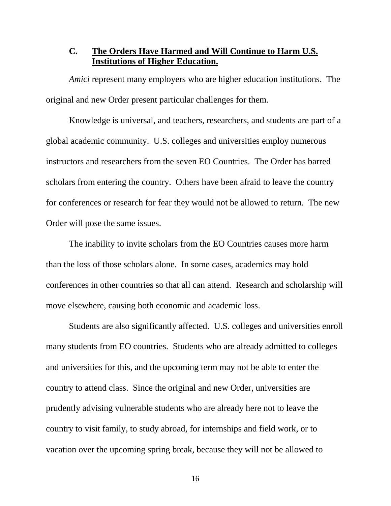# <span id="page-20-0"></span>**C. The Orders Have Harmed and Will Continue to Harm U.S. Institutions of Higher Education.**

*Amici* represent many employers who are higher education institutions. The original and new Order present particular challenges for them.

Knowledge is universal, and teachers, researchers, and students are part of a global academic community. U.S. colleges and universities employ numerous instructors and researchers from the seven EO Countries. The Order has barred scholars from entering the country. Others have been afraid to leave the country for conferences or research for fear they would not be allowed to return. The new Order will pose the same issues.

The inability to invite scholars from the EO Countries causes more harm than the loss of those scholars alone. In some cases, academics may hold conferences in other countries so that all can attend. Research and scholarship will move elsewhere, causing both economic and academic loss.

Students are also significantly affected. U.S. colleges and universities enroll many students from EO countries. Students who are already admitted to colleges and universities for this, and the upcoming term may not be able to enter the country to attend class. Since the original and new Order, universities are prudently advising vulnerable students who are already here not to leave the country to visit family, to study abroad, for internships and field work, or to vacation over the upcoming spring break, because they will not be allowed to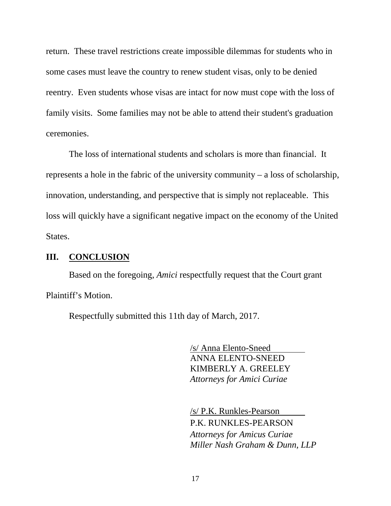return. These travel restrictions create impossible dilemmas for students who in some cases must leave the country to renew student visas, only to be denied reentry. Even students whose visas are intact for now must cope with the loss of family visits. Some families may not be able to attend their student's graduation ceremonies.

The loss of international students and scholars is more than financial. It represents a hole in the fabric of the university community – a loss of scholarship, innovation, understanding, and perspective that is simply not replaceable. This loss will quickly have a significant negative impact on the economy of the United States.

# <span id="page-21-0"></span>**III. CONCLUSION**

Based on the foregoing, *Amici* respectfully request that the Court grant Plaintiff's Motion.

Respectfully submitted this 11th day of March, 2017.

/s/ Anna Elento-Sneed ANNA ELENTO-SNEED KIMBERLY A. GREELEY *Attorneys for Amici Curiae*

/s/ P.K. Runkles-Pearson P.K. RUNKLES-PEARSON *Attorneys for Amicus Curiae Miller Nash Graham & Dunn, LLP*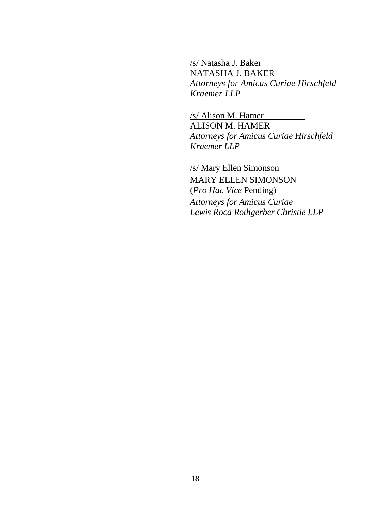/s/ Natasha J. Baker NATASHA J. BAKER *Attorneys for Amicus Curiae Hirschfeld Kraemer LLP*

/s/ Alison M. Hamer ALISON M. HAMER *Attorneys for Amicus Curiae Hirschfeld Kraemer LLP*

/s/ Mary Ellen Simonson MARY ELLEN SIMONSON (*Pro Hac Vice* Pending) *Attorneys for Amicus Curiae Lewis Roca Rothgerber Christie LLP*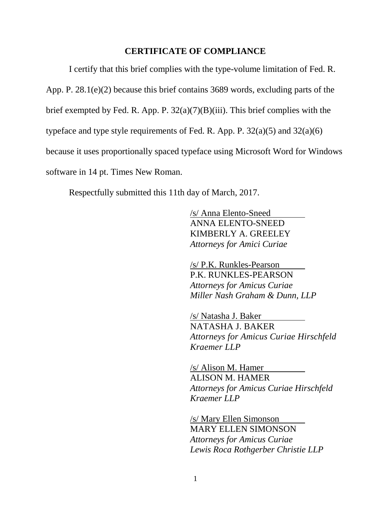#### **CERTIFICATE OF COMPLIANCE**

I certify that this brief complies with the type-volume limitation of Fed. R. App. P. 28.1(e)(2) because this brief contains 3689 words, excluding parts of the brief exempted by Fed. R. App. P.  $32(a)(7)(B)(iii)$ . This brief complies with the typeface and type style requirements of Fed. R. App. P.  $32(a)(5)$  and  $32(a)(6)$ because it uses proportionally spaced typeface using Microsoft Word for Windows software in 14 pt. Times New Roman.

Respectfully submitted this 11th day of March, 2017.

/s/ Anna Elento-Sneed ANNA ELENTO-SNEED KIMBERLY A. GREELEY *Attorneys for Amici Curiae*

/s/ P.K. Runkles-Pearson P.K. RUNKLES-PEARSON *Attorneys for Amicus Curiae Miller Nash Graham & Dunn, LLP*

/s/ Natasha J. Baker NATASHA J. BAKER *Attorneys for Amicus Curiae Hirschfeld Kraemer LLP*

/s/ Alison M. Hamer ALISON M. HAMER *Attorneys for Amicus Curiae Hirschfeld Kraemer LLP*

/s/ Mary Ellen Simonson MARY ELLEN SIMONSON *Attorneys for Amicus Curiae Lewis Roca Rothgerber Christie LLP*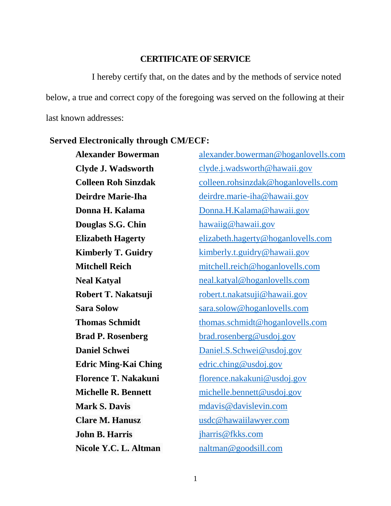#### **CERTIFICATE OF SERVICE**

I hereby certify that, on the dates and by the methods of service noted below, a true and correct copy of the foregoing was served on the following at their last known addresses:

#### **Served Electronically through CM/ECF:**

**Douglas S.G. Chin** [hawaiig@hawaii.gov](mailto:hawaiig@hawaii.gov) **Edric Ming-Kai Ching** [edric.ching@usdoj.gov](mailto:edric.ching@usdoj.gov) **John B. Harris** *[jharris@fkks.com](mailto:jharris@fkks.com)* **Nicole Y.C. L. Altman** [naltman@goodsill.com](mailto:naltman@goodsill.com)

**Alexander Bowerman** [alexander.bowerman@hoganlovells.com](mailto:alexander.bowerman@hoganlovells.com) **Clyde J. Wadsworth** [clyde.j.wadsworth@hawaii.gov](mailto:clyde.j.wadsworth@hawaii.gov) **Colleen Roh Sinzdak** [colleen.rohsinzdak@hoganlovells.com](mailto:colleen.rohsinzdak@hoganlovells.com) **Deirdre Marie-Iha** [deirdre.marie-iha@hawaii.gov](mailto:deirdre.marie-iha@hawaii.gov) **Donna H. Kalama** [Donna.H.Kalama@hawaii.gov](mailto:Donna.H.Kalama@hawaii.gov) **Elizabeth Hagerty** [elizabeth.hagerty@hoganlovells.com](mailto:elizabeth.hagerty@hoganlovells.com) **Kimberly T. Guidry** [kimberly.t.guidry@hawaii.gov](mailto:kimberly.t.guidry@hawaii.gov) **Mitchell Reich** [mitchell.reich@hoganlovells.com](mailto:mitchell.reich@hoganlovells.com) **Neal Katyal** [neal.katyal@hoganlovells.com](mailto:neal.katyal@hoganlovells.com) **Robert T. Nakatsuji** [robert.t.nakatsuji@hawaii.gov](mailto:robert.t.nakatsuji@hawaii.gov) **Sara Solow** [sara.solow@hoganlovells.com](mailto:sara.solow@hoganlovells.com) **Thomas Schmidt** [thomas.schmidt@hoganlovells.com](mailto:thomas.schmidt@hoganlovells.com) **Brad P. Rosenberg** [brad.rosenberg@usdoj.gov](mailto:brad.rosenberg@usdoj.gov) **Daniel Schwei** [Daniel.S.Schwei@usdoj.gov](mailto:Daniel.S.Schwei@usdoj.gov) **Florence T. Nakakuni** [florence.nakakuni@usdoj.gov](mailto:florence.nakakuni@usdoj.gov) **Michelle R. Bennett** [michelle.bennett@usdoj.gov](mailto:michelle.bennett@usdoj.gov) **Mark S. Davis** metals metals metals and metals and metals of the metals of the metals of the metals of the metals of the metals of the metals of the metals of the metals of the metals of the metals of the metals of the me **Clare M. Hanusz** [usdc@hawaiilawyer.com](mailto:usdc@hawaiilawyer.com)